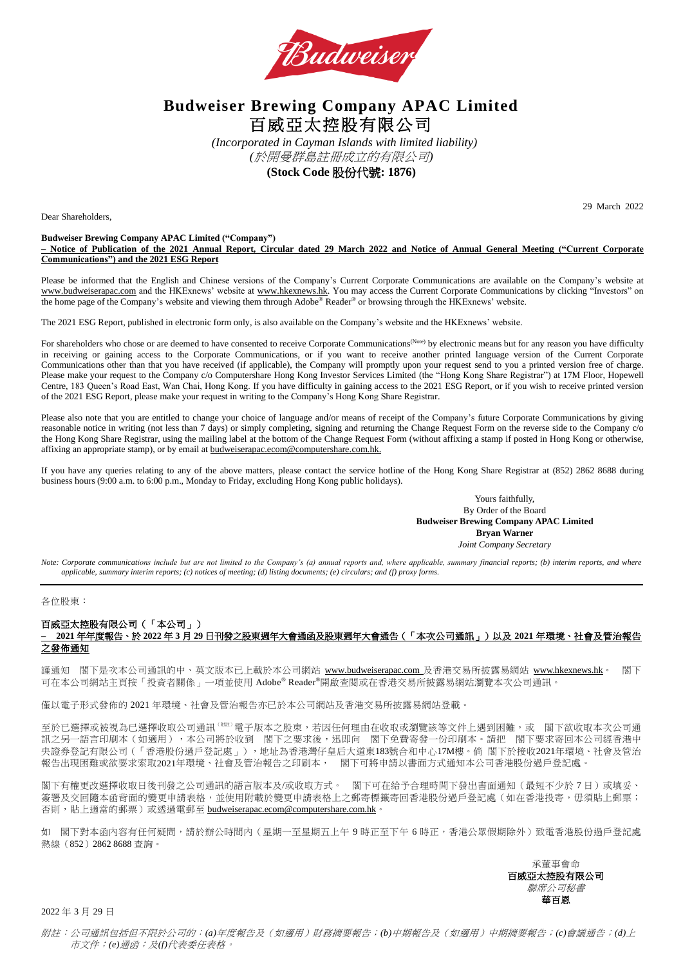

# **Budweiser Brewing Company APAC Limited** 百威亞太控股有限公司

*(Incorporated in Cayman Islands with limited liability) (*於開曼群島註冊成立的有限公司*)* **(Stock Code** 股份代號**: 1876)**

Dear Shareholders,

29 March 2022

#### **Budweiser Brewing Company APAC Limited ("Company") – Notice of Publication of the 2021 Annual Report, Circular dated 29 March 2022 and Notice of Annual General Meeting ("Current Corporate Communications") and the 2021 ESG Report**

Please be informed that the English and Chinese versions of the Company's Current Corporate Communications are available on the Company's website at [www.budweiserapac.com](https://www.budweiserapac.com/en/index.html) and the HKExnews' website at [www.hkexnews.hk.](http://www.hkexnews.hk/) You may access the Current Corporate Communications by clicking "Investors" on the home page of the Company's website and viewing them through Adobe® Reader® or browsing through the HKExnews' website.

The 2021 ESG Report, published in electronic form only, is also available on the Company's website and the HKExnews' website.

For shareholders who chose or are deemed to have consented to receive Corporate Communications<sup>(Note)</sup> by electronic means but for any reason you have difficulty in receiving or gaining access to the Corporate Communications, or if you want to receive another printed language version of the Current Corporate Communications other than that you have received (if applicable), the Company will promptly upon your request send to you a printed version free of charge. Please make your request to the Company c/o Computershare Hong Kong Investor Services Limited (the "Hong Kong Share Registrar") at 17M Floor, Hopewell Centre, 183 Queen's Road East, Wan Chai, Hong Kong. If you have difficulty in gaining access to the 2021 ESG Report, or if you wish to receive printed version of the 2021 ESG Report, please make your request in writing to the Company's Hong Kong Share Registrar.

Please also note that you are entitled to change your choice of language and/or means of receipt of the Company's future Corporate Communications by giving reasonable notice in writing (not less than 7 days) or simply completing, signing and returning the Change Request Form on the reverse side to the Company c/o the Hong Kong Share Registrar, using the mailing label at the bottom of the Change Request Form (without affixing a stamp if posted in Hong Kong or otherwise, affixing an appropriate stamp), or by email at **[budweiserapac.ecom@computershare.com.hk.](mailto:budweiserapac.ecom@computershare.com.hk)** 

If you have any queries relating to any of the above matters, please contact the service hotline of the Hong Kong Share Registrar at (852) 2862 8688 during business hours (9:00 a.m. to 6:00 p.m., Monday to Friday, excluding Hong Kong public holidays).

> Yours faithfully, By Order of the Board **Budweiser Brewing Company APAC Limited Bryan Warner** *Joint Company Secretary*

*Note: Corporate communications include but are not limited to the Company's (a) annual reports and, where applicable, summary financial reports; (b) interim reports, and where applicable, summary interim reports; (c) notices of meeting; (d) listing documents; (e) circulars; and (f) proxy forms.*

#### 各位股東:

## 百威亞太控股有限公司(「本公司」)

### **– 2021** 年年度報告、於 **2022** 年 **3** 月 **29** 日刊發之股東週年大會通函及股東週年大會通告(「本次公司通訊」)以及 **2021** 年環境、社會及管治報告 之發佈通知

謹通知 閣下是次本公司通訊的中、英文版本已上載於本公司網站 [www.budweiserapac.com](http://www.budweiserapac.com/) 及香港交易所披露易網站 [www.hkexnews.hk](http://www.hkexnews.hk/)。 閣下 可在本公司網站主頁按「投資者關係」一項並使用 Adobe® Reader®開啟查閱或在香港交易所披露易網站瀏覽本次公司通訊。

僅以電子形式發佈的 2021 年環境、社會及管治報告亦已於本公司網站及香港交易所披露易網站登載。

至於已選擇或被視為已選擇收取公司通訊(W#i 電子版本之股東,若因任何理由在收取或瀏覽該等文件上遇到困難,或 閣下欲收取本次公司通 訊之另一語言印刷本(如適用),本公司將於收到 閣下之要求後,迅即向 閣下免費寄發一份印刷本。請把 閣下要求寄回本公司經香港中 央證券登記有限公司(「香港股份過戶登記處」),地址為香港灣仔皇后大道東183號合和中心17M樓。倘 閣下於接收2021年環境、社會及管治 報告出現困難或欲要求索取2021年環境、社會及管治報告之印刷本, 閣下可將申請以書面方式通知本公司香港股份過戶登記處。

閣下有權更改選擇收取日後刊發之公司通訊的語言版本及/或收取方式。 閣下可在給予合理時間下發出書面通知(最短不少於 7 日)或填妥、 簽署及交回隨本函背面的變更申請表於雙更申請表格上之郵寄標籤寄回香港股份過戶登記處(如在香港投寄,每須貼上郵票; 否則,貼上適當的郵票)或透過電郵至 [budweiserapac.ecom@computershare.com.hk](mailto:budweiserapac.ecom@computershare.com.hk)。

如 閣下對本函內容有任何疑問,請於辦公時間內 (星期一至星期五上午 9 時正至下午 6 時正,香港公眾假期除外)致電香港股份過戶登記處 熱線(852)2862 8688 查詢。

> 承董事會命 百威亞太控股有限公司 聯席公司秘書 華百恩

2022 年 3 月 29 日

附註:公司通訊包括但不限於公司的:*(a)*年度報告及(如適用)財務摘要報告;*(b)*中期報告及(如適用)中期摘要報告;*(c)*會議通告;*(d)*上 市文件;*(e)*通函;及*(f)*代表委任表格。